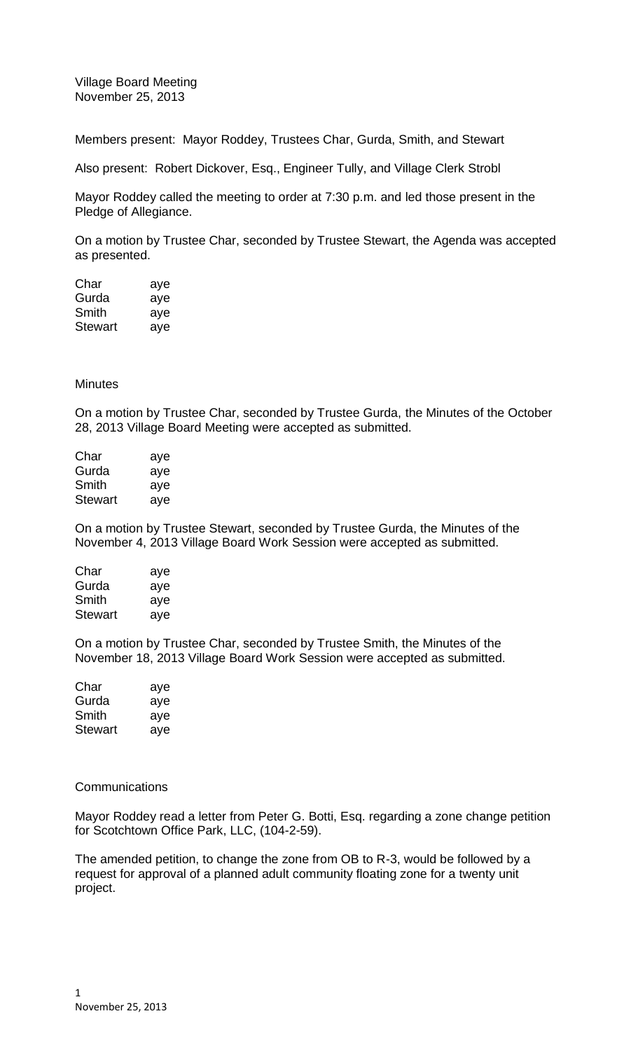Village Board Meeting November 25, 2013

Members present: Mayor Roddey, Trustees Char, Gurda, Smith, and Stewart

Also present: Robert Dickover, Esq., Engineer Tully, and Village Clerk Strobl

Mayor Roddey called the meeting to order at 7:30 p.m. and led those present in the Pledge of Allegiance.

On a motion by Trustee Char, seconded by Trustee Stewart, the Agenda was accepted as presented.

| Char    | aye |
|---------|-----|
| Gurda   | aye |
| Smith   | aye |
| Stewart | ave |

# **Minutes**

On a motion by Trustee Char, seconded by Trustee Gurda, the Minutes of the October 28, 2013 Village Board Meeting were accepted as submitted.

| Char           | aye |
|----------------|-----|
| Gurda          | aye |
| Smith          | aye |
| <b>Stewart</b> | aye |

On a motion by Trustee Stewart, seconded by Trustee Gurda, the Minutes of the November 4, 2013 Village Board Work Session were accepted as submitted.

| aye |
|-----|
| aye |
| aye |
| aye |
|     |

On a motion by Trustee Char, seconded by Trustee Smith, the Minutes of the November 18, 2013 Village Board Work Session were accepted as submitted.

| Char    | aye |
|---------|-----|
| Gurda   | aye |
| Smith   | aye |
| Stewart | aye |

### **Communications**

Mayor Roddey read a letter from Peter G. Botti, Esq. regarding a zone change petition for Scotchtown Office Park, LLC, (104-2-59).

The amended petition, to change the zone from OB to R-3, would be followed by a request for approval of a planned adult community floating zone for a twenty unit project.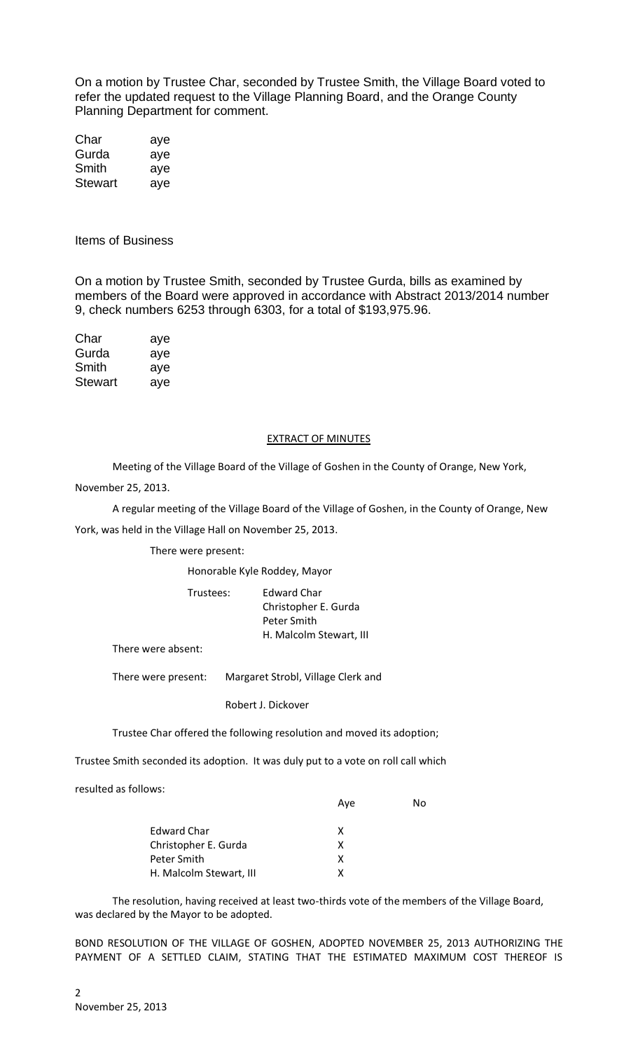On a motion by Trustee Char, seconded by Trustee Smith, the Village Board voted to refer the updated request to the Village Planning Board, and the Orange County Planning Department for comment.

| Char    | aye |
|---------|-----|
| Gurda   | aye |
| Smith   | aye |
| Stewart | aye |

Items of Business

On a motion by Trustee Smith, seconded by Trustee Gurda, bills as examined by members of the Board were approved in accordance with Abstract 2013/2014 number 9, check numbers 6253 through 6303, for a total of \$193,975.96.

| Char    | aye |
|---------|-----|
| Gurda   | aye |
| Smith   | aye |
| Stewart | aye |

#### EXTRACT OF MINUTES

Meeting of the Village Board of the Village of Goshen in the County of Orange, New York,

November 25, 2013.

A regular meeting of the Village Board of the Village of Goshen, in the County of Orange, New

York, was held in the Village Hall on November 25, 2013.

There were present:

Honorable Kyle Roddey, Mayor

| Trustees: | Edward Char             |
|-----------|-------------------------|
|           | Christopher E. Gurda    |
|           | Peter Smith             |
|           | H. Malcolm Stewart, III |
|           |                         |

There were absent:

There were present: Margaret Strobl, Village Clerk and

Robert J. Dickover

Trustee Char offered the following resolution and moved its adoption;

Trustee Smith seconded its adoption. It was duly put to a vote on roll call which

resulted as follows:

|                         | Ave | N٥ |
|-------------------------|-----|----|
| Edward Char             | x   |    |
| Christopher E. Gurda    | x   |    |
| Peter Smith             | x   |    |
| H. Malcolm Stewart, III |     |    |

The resolution, having received at least two-thirds vote of the members of the Village Board, was declared by the Mayor to be adopted.

BOND RESOLUTION OF THE VILLAGE OF GOSHEN, ADOPTED NOVEMBER 25, 2013 AUTHORIZING THE PAYMENT OF A SETTLED CLAIM, STATING THAT THE ESTIMATED MAXIMUM COST THEREOF IS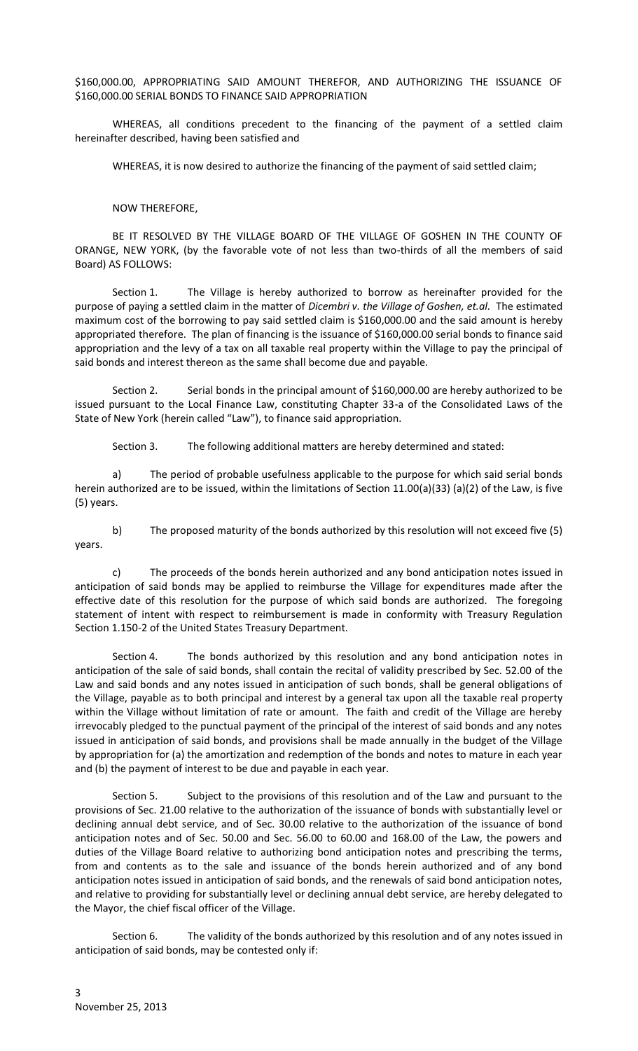\$160,000.00, APPROPRIATING SAID AMOUNT THEREFOR, AND AUTHORIZING THE ISSUANCE OF \$160,000.00 SERIAL BONDS TO FINANCE SAID APPROPRIATION

WHEREAS, all conditions precedent to the financing of the payment of a settled claim hereinafter described, having been satisfied and

WHEREAS, it is now desired to authorize the financing of the payment of said settled claim;

## NOW THEREFORE,

BE IT RESOLVED BY THE VILLAGE BOARD OF THE VILLAGE OF GOSHEN IN THE COUNTY OF ORANGE, NEW YORK, (by the favorable vote of not less than two-thirds of all the members of said Board) AS FOLLOWS:

Section 1. The Village is hereby authorized to borrow as hereinafter provided for the purpose of paying a settled claim in the matter of *Dicembri v. the Village of Goshen, et.al.* The estimated maximum cost of the borrowing to pay said settled claim is \$160,000.00 and the said amount is hereby appropriated therefore. The plan of financing is the issuance of \$160,000.00 serial bonds to finance said appropriation and the levy of a tax on all taxable real property within the Village to pay the principal of said bonds and interest thereon as the same shall become due and payable.

Section 2. Serial bonds in the principal amount of \$160,000.00 are hereby authorized to be issued pursuant to the Local Finance Law, constituting Chapter 33-a of the Consolidated Laws of the State of New York (herein called "Law"), to finance said appropriation.

Section 3. The following additional matters are hereby determined and stated:

a) The period of probable usefulness applicable to the purpose for which said serial bonds herein authorized are to be issued, within the limitations of Section 11.00(a)(33) (a)(2) of the Law, is five (5) years.

b) The proposed maturity of the bonds authorized by this resolution will not exceed five (5) years.

c) The proceeds of the bonds herein authorized and any bond anticipation notes issued in anticipation of said bonds may be applied to reimburse the Village for expenditures made after the effective date of this resolution for the purpose of which said bonds are authorized. The foregoing statement of intent with respect to reimbursement is made in conformity with Treasury Regulation Section 1.150-2 of the United States Treasury Department.

Section 4. The bonds authorized by this resolution and any bond anticipation notes in anticipation of the sale of said bonds, shall contain the recital of validity prescribed by Sec. 52.00 of the Law and said bonds and any notes issued in anticipation of such bonds, shall be general obligations of the Village, payable as to both principal and interest by a general tax upon all the taxable real property within the Village without limitation of rate or amount. The faith and credit of the Village are hereby irrevocably pledged to the punctual payment of the principal of the interest of said bonds and any notes issued in anticipation of said bonds, and provisions shall be made annually in the budget of the Village by appropriation for (a) the amortization and redemption of the bonds and notes to mature in each year and (b) the payment of interest to be due and payable in each year.

Section 5. Subject to the provisions of this resolution and of the Law and pursuant to the provisions of Sec. 21.00 relative to the authorization of the issuance of bonds with substantially level or declining annual debt service, and of Sec. 30.00 relative to the authorization of the issuance of bond anticipation notes and of Sec. 50.00 and Sec. 56.00 to 60.00 and 168.00 of the Law, the powers and duties of the Village Board relative to authorizing bond anticipation notes and prescribing the terms, from and contents as to the sale and issuance of the bonds herein authorized and of any bond anticipation notes issued in anticipation of said bonds, and the renewals of said bond anticipation notes, and relative to providing for substantially level or declining annual debt service, are hereby delegated to the Mayor, the chief fiscal officer of the Village.

Section 6. The validity of the bonds authorized by this resolution and of any notes issued in anticipation of said bonds, may be contested only if: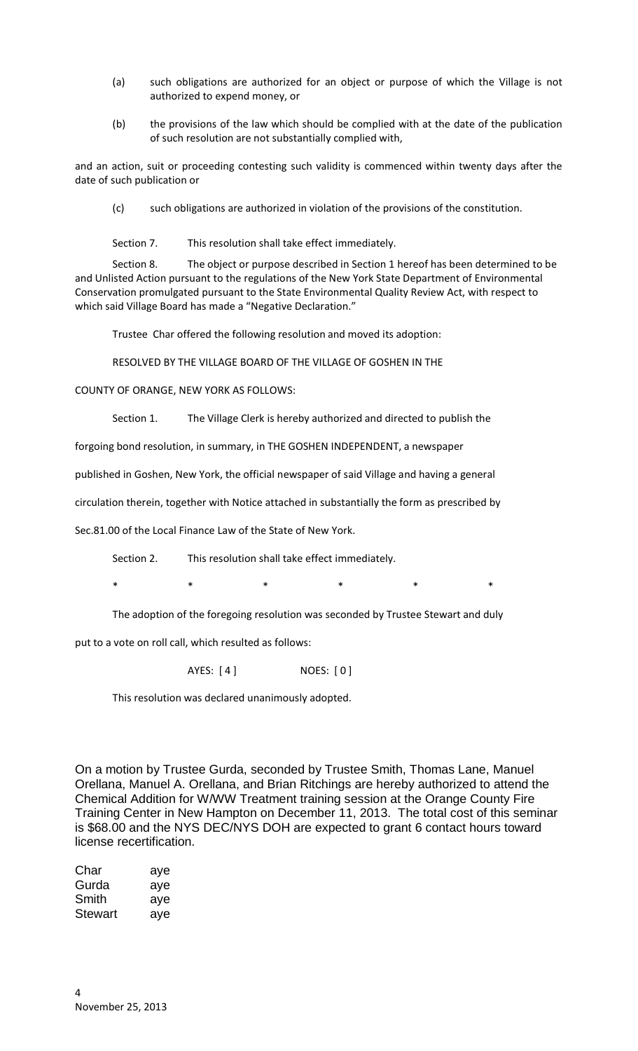- (a) such obligations are authorized for an object or purpose of which the Village is not authorized to expend money, or
- (b) the provisions of the law which should be complied with at the date of the publication of such resolution are not substantially complied with,

and an action, suit or proceeding contesting such validity is commenced within twenty days after the date of such publication or

(c) such obligations are authorized in violation of the provisions of the constitution.

Section 7. This resolution shall take effect immediately.

Section 8. The object or purpose described in Section 1 hereof has been determined to be and Unlisted Action pursuant to the regulations of the New York State Department of Environmental Conservation promulgated pursuant to the State Environmental Quality Review Act, with respect to which said Village Board has made a "Negative Declaration."

Trustee Char offered the following resolution and moved its adoption:

RESOLVED BY THE VILLAGE BOARD OF THE VILLAGE OF GOSHEN IN THE

COUNTY OF ORANGE, NEW YORK AS FOLLOWS:

Section 1. The Village Clerk is hereby authorized and directed to publish the

forgoing bond resolution, in summary, in THE GOSHEN INDEPENDENT, a newspaper

published in Goshen, New York, the official newspaper of said Village and having a general

circulation therein, together with Notice attached in substantially the form as prescribed by

Sec.81.00 of the Local Finance Law of the State of New York.

Section 2. This resolution shall take effect immediately.

\* \* \* \* \* \* \* \*

The adoption of the foregoing resolution was seconded by Trustee Stewart and duly

put to a vote on roll call, which resulted as follows:

AYES: [4] NOES: [0]

This resolution was declared unanimously adopted.

On a motion by Trustee Gurda, seconded by Trustee Smith, Thomas Lane, Manuel Orellana, Manuel A. Orellana, and Brian Ritchings are hereby authorized to attend the Chemical Addition for W/WW Treatment training session at the Orange County Fire Training Center in New Hampton on December 11, 2013. The total cost of this seminar is \$68.00 and the NYS DEC/NYS DOH are expected to grant 6 contact hours toward license recertification.

| Char    | aye |
|---------|-----|
| Gurda   | aye |
| Smith   | aye |
| Stewart | aye |